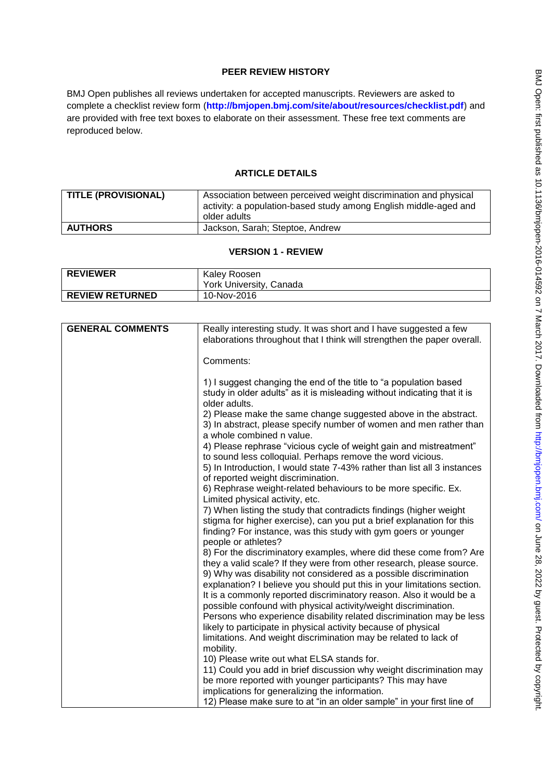# **PEER REVIEW HISTORY**

BMJ Open publishes all reviews undertaken for accepted manuscripts. Reviewers are asked to complete a checklist review form (**[http://bmjopen.bmj.com/site/about/resources/checklist.pdf\)](http://bmjopen.bmj.com/site/about/resources/checklist.pdf)** and are provided with free text boxes to elaborate on their assessment. These free text comments are reproduced below.

# **ARTICLE DETAILS**

|                | activity: a population-based study among English middle-aged and<br>older adults |
|----------------|----------------------------------------------------------------------------------|
| <b>AUTHORS</b> | Jackson, Sarah; Steptoe, Andrew                                                  |

## **VERSION 1 - REVIEW**

| <b>REVIEWER</b>        | Kaley Roosen            |
|------------------------|-------------------------|
|                        | York University, Canada |
| <b>REVIEW RETURNED</b> | 10-Nov-2016             |

| <b>GENERAL COMMENTS</b> | Really interesting study. It was short and I have suggested a few<br>elaborations throughout that I think will strengthen the paper overall.                                                                                                                                               |
|-------------------------|--------------------------------------------------------------------------------------------------------------------------------------------------------------------------------------------------------------------------------------------------------------------------------------------|
|                         | Comments:                                                                                                                                                                                                                                                                                  |
|                         | 1) I suggest changing the end of the title to "a population based<br>study in older adults" as it is misleading without indicating that it is<br>older adults.                                                                                                                             |
|                         | 2) Please make the same change suggested above in the abstract.<br>3) In abstract, please specify number of women and men rather than<br>a whole combined n value.                                                                                                                         |
|                         | 4) Please rephrase "vicious cycle of weight gain and mistreatment"<br>to sound less colloquial. Perhaps remove the word vicious.<br>5) In Introduction, I would state 7-43% rather than list all 3 instances<br>of reported weight discrimination.                                         |
|                         | 6) Rephrase weight-related behaviours to be more specific. Ex.<br>Limited physical activity, etc.                                                                                                                                                                                          |
|                         | 7) When listing the study that contradicts findings (higher weight<br>stigma for higher exercise), can you put a brief explanation for this<br>finding? For instance, was this study with gym goers or younger<br>people or athletes?                                                      |
|                         | 8) For the discriminatory examples, where did these come from? Are<br>they a valid scale? If they were from other research, please source.<br>9) Why was disability not considered as a possible discrimination<br>explanation? I believe you should put this in your limitations section. |
|                         | It is a commonly reported discriminatory reason. Also it would be a<br>possible confound with physical activity/weight discrimination.                                                                                                                                                     |
|                         | Persons who experience disability related discrimination may be less<br>likely to participate in physical activity because of physical<br>limitations. And weight discrimination may be related to lack of                                                                                 |
|                         | mobility.<br>10) Please write out what ELSA stands for.                                                                                                                                                                                                                                    |
|                         | 11) Could you add in brief discussion why weight discrimination may                                                                                                                                                                                                                        |
|                         | be more reported with younger participants? This may have                                                                                                                                                                                                                                  |
|                         | implications for generalizing the information.                                                                                                                                                                                                                                             |
|                         | 12) Please make sure to at "in an older sample" in your first line of                                                                                                                                                                                                                      |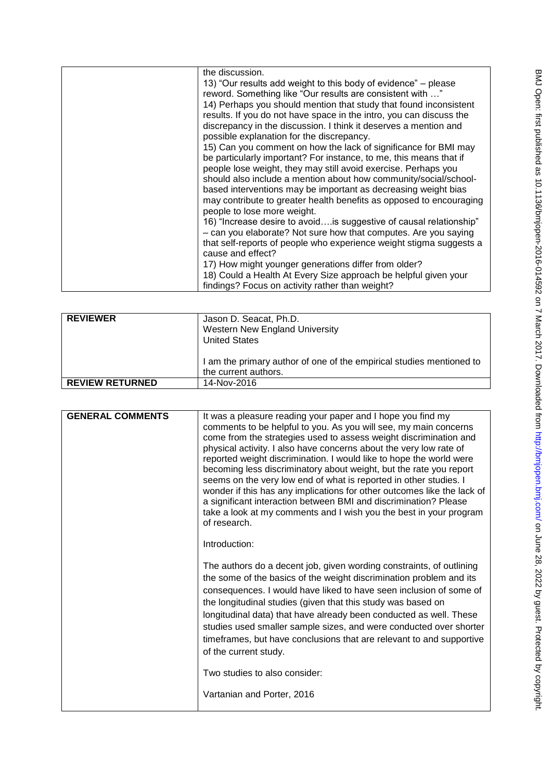| the discussion.                                                     |
|---------------------------------------------------------------------|
| 13) "Our results add weight to this body of evidence" – please      |
| reword. Something like "Our results are consistent with "           |
| 14) Perhaps you should mention that study that found inconsistent   |
| results. If you do not have space in the intro, you can discuss the |
| discrepancy in the discussion. I think it deserves a mention and    |
| possible explanation for the discrepancy.                           |
| 15) Can you comment on how the lack of significance for BMI may     |
| be particularly important? For instance, to me, this means that if  |
| people lose weight, they may still avoid exercise. Perhaps you      |
| should also include a mention about how community/social/school-    |
| based interventions may be important as decreasing weight bias      |
| may contribute to greater health benefits as opposed to encouraging |
| people to lose more weight.                                         |
| 16) "Increase desire to avoidis suggestive of causal relationship"  |
| - can you elaborate? Not sure how that computes. Are you saying     |
| that self-reports of people who experience weight stigma suggests a |
| cause and effect?                                                   |
| 17) How might younger generations differ from older?                |
| 18) Could a Health At Every Size approach be helpful given your     |
| findings? Focus on activity rather than weight?                     |

| <b>REVIEWER</b>        | Jason D. Seacat, Ph.D.<br>Western New England University<br><b>United States</b>             |
|------------------------|----------------------------------------------------------------------------------------------|
|                        | I am the primary author of one of the empirical studies mentioned to<br>the current authors. |
| <b>REVIEW RETURNED</b> | 14-Nov-2016                                                                                  |

| <b>GENERAL COMMENTS</b> | It was a pleasure reading your paper and I hope you find my<br>comments to be helpful to you. As you will see, my main concerns<br>come from the strategies used to assess weight discrimination and<br>physical activity. I also have concerns about the very low rate of<br>reported weight discrimination. I would like to hope the world were<br>becoming less discriminatory about weight, but the rate you report<br>seems on the very low end of what is reported in other studies. I<br>wonder if this has any implications for other outcomes like the lack of<br>a significant interaction between BMI and discrimination? Please<br>take a look at my comments and I wish you the best in your program<br>of research.<br>Introduction: |
|-------------------------|----------------------------------------------------------------------------------------------------------------------------------------------------------------------------------------------------------------------------------------------------------------------------------------------------------------------------------------------------------------------------------------------------------------------------------------------------------------------------------------------------------------------------------------------------------------------------------------------------------------------------------------------------------------------------------------------------------------------------------------------------|
|                         | The authors do a decent job, given wording constraints, of outlining<br>the some of the basics of the weight discrimination problem and its<br>consequences. I would have liked to have seen inclusion of some of<br>the longitudinal studies (given that this study was based on<br>longitudinal data) that have already been conducted as well. These<br>studies used smaller sample sizes, and were conducted over shorter<br>timeframes, but have conclusions that are relevant to and supportive<br>of the current study.<br>Two studies to also consider:<br>Vartanian and Porter, 2016                                                                                                                                                      |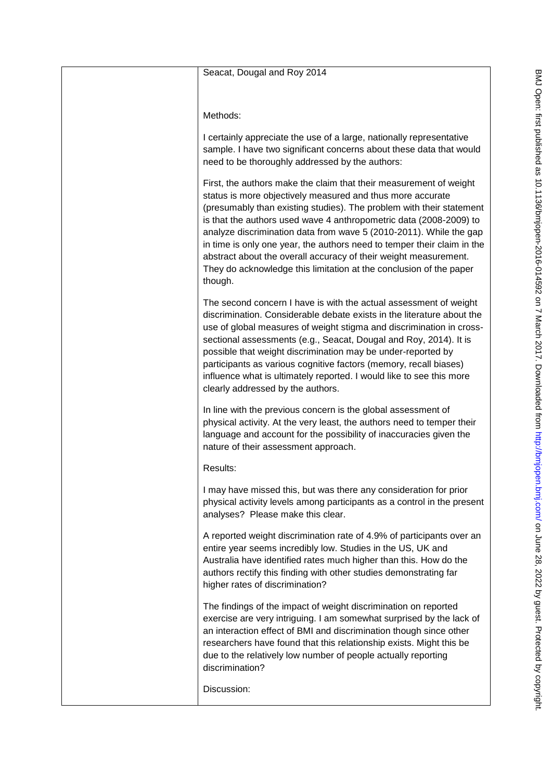| Seacat, Dougal and Roy 2014                                                                                                                                                                                                                                                                                                                                                                                                                                                                                                                                                          |
|--------------------------------------------------------------------------------------------------------------------------------------------------------------------------------------------------------------------------------------------------------------------------------------------------------------------------------------------------------------------------------------------------------------------------------------------------------------------------------------------------------------------------------------------------------------------------------------|
| Methods:                                                                                                                                                                                                                                                                                                                                                                                                                                                                                                                                                                             |
| I certainly appreciate the use of a large, nationally representative<br>sample. I have two significant concerns about these data that would<br>need to be thoroughly addressed by the authors:                                                                                                                                                                                                                                                                                                                                                                                       |
| First, the authors make the claim that their measurement of weight<br>status is more objectively measured and thus more accurate<br>(presumably than existing studies). The problem with their statement<br>is that the authors used wave 4 anthropometric data (2008-2009) to<br>analyze discrimination data from wave 5 (2010-2011). While the gap<br>in time is only one year, the authors need to temper their claim in the<br>abstract about the overall accuracy of their weight measurement.<br>They do acknowledge this limitation at the conclusion of the paper<br>though. |
| The second concern I have is with the actual assessment of weight<br>discrimination. Considerable debate exists in the literature about the<br>use of global measures of weight stigma and discrimination in cross-<br>sectional assessments (e.g., Seacat, Dougal and Roy, 2014). It is<br>possible that weight discrimination may be under-reported by<br>participants as various cognitive factors (memory, recall biases)<br>influence what is ultimately reported. I would like to see this more<br>clearly addressed by the authors.                                           |
| In line with the previous concern is the global assessment of<br>physical activity. At the very least, the authors need to temper their<br>language and account for the possibility of inaccuracies given the<br>nature of their assessment approach.                                                                                                                                                                                                                                                                                                                                |
| Results:                                                                                                                                                                                                                                                                                                                                                                                                                                                                                                                                                                             |
| I may have missed this, but was there any consideration for prior<br>physical activity levels among participants as a control in the present<br>analyses? Please make this clear.                                                                                                                                                                                                                                                                                                                                                                                                    |
| A reported weight discrimination rate of 4.9% of participants over an<br>entire year seems incredibly low. Studies in the US, UK and<br>Australia have identified rates much higher than this. How do the<br>authors rectify this finding with other studies demonstrating far<br>higher rates of discrimination?                                                                                                                                                                                                                                                                    |
| The findings of the impact of weight discrimination on reported<br>exercise are very intriguing. I am somewhat surprised by the lack of<br>an interaction effect of BMI and discrimination though since other<br>researchers have found that this relationship exists. Might this be<br>due to the relatively low number of people actually reporting<br>discrimination?                                                                                                                                                                                                             |
| Discussion:                                                                                                                                                                                                                                                                                                                                                                                                                                                                                                                                                                          |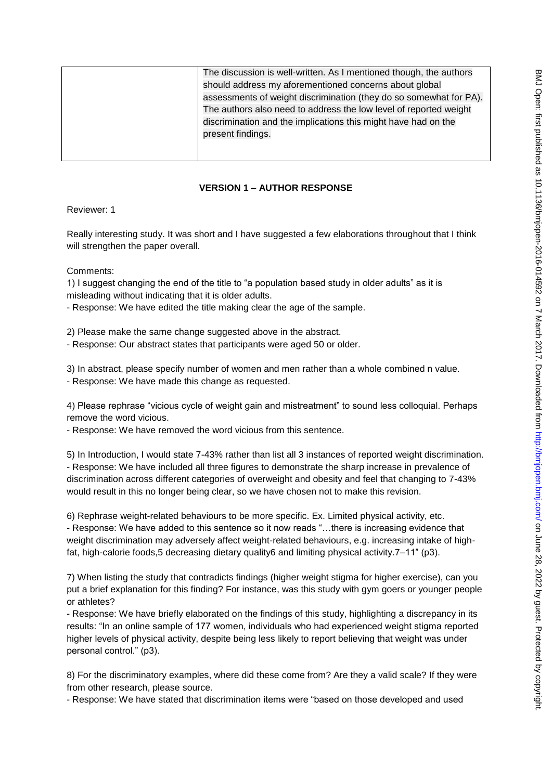| The discussion is well-written. As I mentioned though, the authors |
|--------------------------------------------------------------------|
| should address my aforementioned concerns about global             |
| assessments of weight discrimination (they do so somewhat for PA). |
| The authors also need to address the low level of reported weight  |
| discrimination and the implications this might have had on the     |
| present findings.                                                  |
|                                                                    |
|                                                                    |

# **VERSION 1 – AUTHOR RESPONSE**

Reviewer: 1

Really interesting study. It was short and I have suggested a few elaborations throughout that I think will strengthen the paper overall.

Comments:

1) I suggest changing the end of the title to "a population based study in older adults" as it is misleading without indicating that it is older adults.

- Response: We have edited the title making clear the age of the sample.

2) Please make the same change suggested above in the abstract.

- Response: Our abstract states that participants were aged 50 or older.

3) In abstract, please specify number of women and men rather than a whole combined n value. - Response: We have made this change as requested.

4) Please rephrase "vicious cycle of weight gain and mistreatment" to sound less colloquial. Perhaps remove the word vicious.

- Response: We have removed the word vicious from this sentence.

5) In Introduction, I would state 7-43% rather than list all 3 instances of reported weight discrimination. - Response: We have included all three figures to demonstrate the sharp increase in prevalence of discrimination across different categories of overweight and obesity and feel that changing to 7-43% would result in this no longer being clear, so we have chosen not to make this revision.

6) Rephrase weight-related behaviours to be more specific. Ex. Limited physical activity, etc. - Response: We have added to this sentence so it now reads "…there is increasing evidence that weight discrimination may adversely affect weight-related behaviours, e.g. increasing intake of highfat, high-calorie foods,5 decreasing dietary quality6 and limiting physical activity.7–11" (p3).

7) When listing the study that contradicts findings (higher weight stigma for higher exercise), can you put a brief explanation for this finding? For instance, was this study with gym goers or younger people or athletes?

- Response: We have briefly elaborated on the findings of this study, highlighting a discrepancy in its results: "In an online sample of 177 women, individuals who had experienced weight stigma reported higher levels of physical activity, despite being less likely to report believing that weight was under personal control." (p3).

8) For the discriminatory examples, where did these come from? Are they a valid scale? If they were from other research, please source.

- Response: We have stated that discrimination items were "based on those developed and used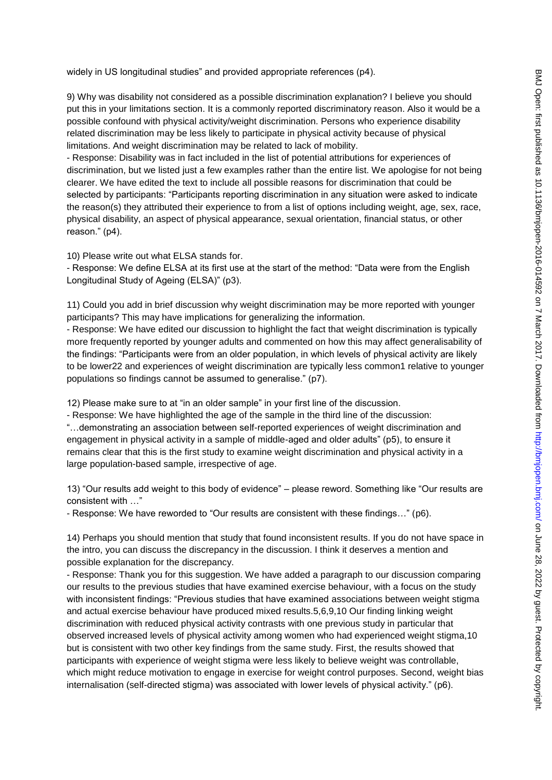widely in US longitudinal studies" and provided appropriate references (p4).

9) Why was disability not considered as a possible discrimination explanation? I believe you should put this in your limitations section. It is a commonly reported discriminatory reason. Also it would be a possible confound with physical activity/weight discrimination. Persons who experience disability related discrimination may be less likely to participate in physical activity because of physical limitations. And weight discrimination may be related to lack of mobility.

- Response: Disability was in fact included in the list of potential attributions for experiences of discrimination, but we listed just a few examples rather than the entire list. We apologise for not being clearer. We have edited the text to include all possible reasons for discrimination that could be selected by participants: "Participants reporting discrimination in any situation were asked to indicate the reason(s) they attributed their experience to from a list of options including weight, age, sex, race, physical disability, an aspect of physical appearance, sexual orientation, financial status, or other reason." (p4).

10) Please write out what ELSA stands for.

- Response: We define ELSA at its first use at the start of the method: "Data were from the English Longitudinal Study of Ageing (ELSA)" (p3).

11) Could you add in brief discussion why weight discrimination may be more reported with younger participants? This may have implications for generalizing the information.

- Response: We have edited our discussion to highlight the fact that weight discrimination is typically more frequently reported by younger adults and commented on how this may affect generalisability of the findings: "Participants were from an older population, in which levels of physical activity are likely to be lower22 and experiences of weight discrimination are typically less common1 relative to younger populations so findings cannot be assumed to generalise." (p7).

12) Please make sure to at "in an older sample" in your first line of the discussion.

- Response: We have highlighted the age of the sample in the third line of the discussion: "…demonstrating an association between self-reported experiences of weight discrimination and engagement in physical activity in a sample of middle-aged and older adults" (p5), to ensure it remains clear that this is the first study to examine weight discrimination and physical activity in a large population-based sample, irrespective of age.

13) "Our results add weight to this body of evidence" – please reword. Something like "Our results are consistent with …"

- Response: We have reworded to "Our results are consistent with these findings…" (p6).

14) Perhaps you should mention that study that found inconsistent results. If you do not have space in the intro, you can discuss the discrepancy in the discussion. I think it deserves a mention and possible explanation for the discrepancy.

- Response: Thank you for this suggestion. We have added a paragraph to our discussion comparing our results to the previous studies that have examined exercise behaviour, with a focus on the study with inconsistent findings: "Previous studies that have examined associations between weight stigma and actual exercise behaviour have produced mixed results.5,6,9,10 Our finding linking weight discrimination with reduced physical activity contrasts with one previous study in particular that observed increased levels of physical activity among women who had experienced weight stigma,10 but is consistent with two other key findings from the same study. First, the results showed that participants with experience of weight stigma were less likely to believe weight was controllable, which might reduce motivation to engage in exercise for weight control purposes. Second, weight bias internalisation (self-directed stigma) was associated with lower levels of physical activity." (p6).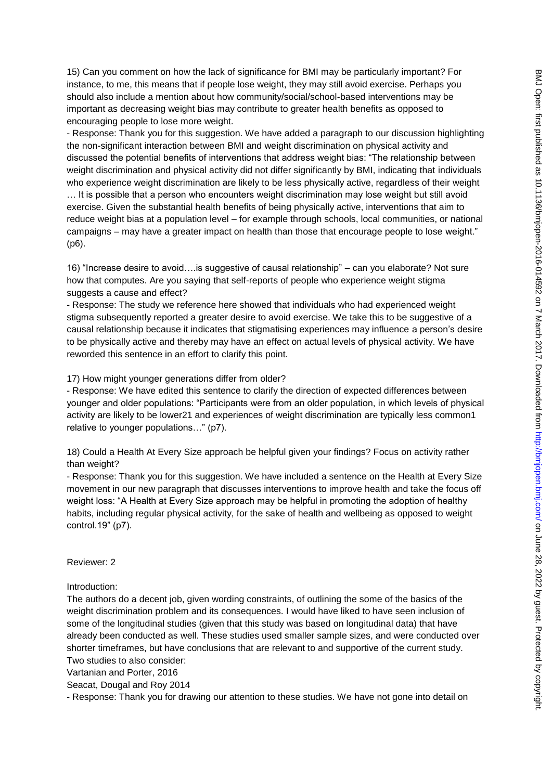15) Can you comment on how the lack of significance for BMI may be particularly important? For instance, to me, this means that if people lose weight, they may still avoid exercise. Perhaps you should also include a mention about how community/social/school-based interventions may be important as decreasing weight bias may contribute to greater health benefits as opposed to encouraging people to lose more weight.

- Response: Thank you for this suggestion. We have added a paragraph to our discussion highlighting the non-significant interaction between BMI and weight discrimination on physical activity and discussed the potential benefits of interventions that address weight bias: "The relationship between weight discrimination and physical activity did not differ significantly by BMI, indicating that individuals who experience weight discrimination are likely to be less physically active, regardless of their weight … It is possible that a person who encounters weight discrimination may lose weight but still avoid exercise. Given the substantial health benefits of being physically active, interventions that aim to reduce weight bias at a population level – for example through schools, local communities, or national campaigns – may have a greater impact on health than those that encourage people to lose weight." (p6).

16) "Increase desire to avoid….is suggestive of causal relationship" – can you elaborate? Not sure how that computes. Are you saying that self-reports of people who experience weight stigma suggests a cause and effect?

- Response: The study we reference here showed that individuals who had experienced weight stigma subsequently reported a greater desire to avoid exercise. We take this to be suggestive of a causal relationship because it indicates that stigmatising experiences may influence a person's desire to be physically active and thereby may have an effect on actual levels of physical activity. We have reworded this sentence in an effort to clarify this point.

#### 17) How might younger generations differ from older?

- Response: We have edited this sentence to clarify the direction of expected differences between younger and older populations: "Participants were from an older population, in which levels of physical activity are likely to be lower21 and experiences of weight discrimination are typically less common1 relative to younger populations…" (p7).

18) Could a Health At Every Size approach be helpful given your findings? Focus on activity rather than weight?

- Response: Thank you for this suggestion. We have included a sentence on the Health at Every Size movement in our new paragraph that discusses interventions to improve health and take the focus off weight loss: "A Health at Every Size approach may be helpful in promoting the adoption of healthy habits, including regular physical activity, for the sake of health and wellbeing as opposed to weight control.19" (p7).

Reviewer: 2

Introduction:

The authors do a decent job, given wording constraints, of outlining the some of the basics of the weight discrimination problem and its consequences. I would have liked to have seen inclusion of some of the longitudinal studies (given that this study was based on longitudinal data) that have already been conducted as well. These studies used smaller sample sizes, and were conducted over shorter timeframes, but have conclusions that are relevant to and supportive of the current study. Two studies to also consider:

Vartanian and Porter, 2016

Seacat, Dougal and Roy 2014

- Response: Thank you for drawing our attention to these studies. We have not gone into detail on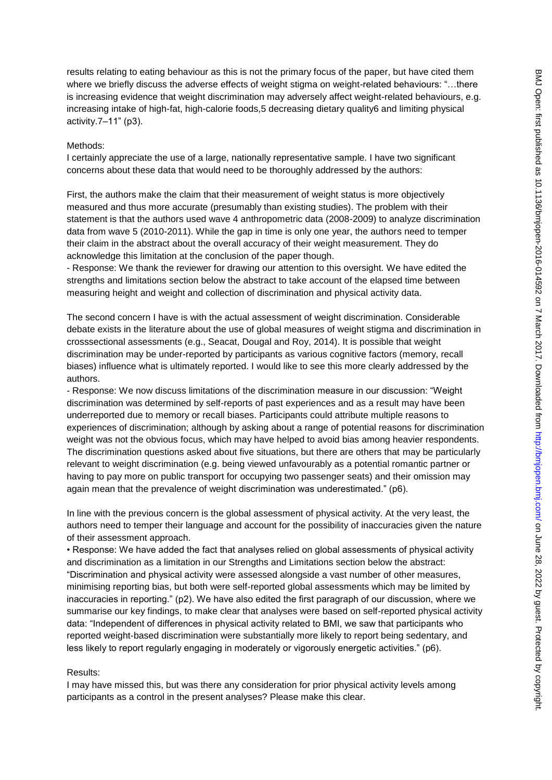results relating to eating behaviour as this is not the primary focus of the paper, but have cited them where we briefly discuss the adverse effects of weight stigma on weight-related behaviours: "...there is increasing evidence that weight discrimination may adversely affect weight-related behaviours, e.g. increasing intake of high-fat, high-calorie foods,5 decreasing dietary quality6 and limiting physical activity.7–11" (p3).

## Methods:

I certainly appreciate the use of a large, nationally representative sample. I have two significant concerns about these data that would need to be thoroughly addressed by the authors:

First, the authors make the claim that their measurement of weight status is more objectively measured and thus more accurate (presumably than existing studies). The problem with their statement is that the authors used wave 4 anthropometric data (2008-2009) to analyze discrimination data from wave 5 (2010-2011). While the gap in time is only one year, the authors need to temper their claim in the abstract about the overall accuracy of their weight measurement. They do acknowledge this limitation at the conclusion of the paper though.

- Response: We thank the reviewer for drawing our attention to this oversight. We have edited the strengths and limitations section below the abstract to take account of the elapsed time between measuring height and weight and collection of discrimination and physical activity data.

The second concern I have is with the actual assessment of weight discrimination. Considerable debate exists in the literature about the use of global measures of weight stigma and discrimination in crosssectional assessments (e.g., Seacat, Dougal and Roy, 2014). It is possible that weight discrimination may be under-reported by participants as various cognitive factors (memory, recall biases) influence what is ultimately reported. I would like to see this more clearly addressed by the authors.

- Response: We now discuss limitations of the discrimination measure in our discussion: "Weight discrimination was determined by self-reports of past experiences and as a result may have been underreported due to memory or recall biases. Participants could attribute multiple reasons to experiences of discrimination; although by asking about a range of potential reasons for discrimination weight was not the obvious focus, which may have helped to avoid bias among heavier respondents. The discrimination questions asked about five situations, but there are others that may be particularly relevant to weight discrimination (e.g. being viewed unfavourably as a potential romantic partner or having to pay more on public transport for occupying two passenger seats) and their omission may again mean that the prevalence of weight discrimination was underestimated." (p6).

In line with the previous concern is the global assessment of physical activity. At the very least, the authors need to temper their language and account for the possibility of inaccuracies given the nature of their assessment approach.

• Response: We have added the fact that analyses relied on global assessments of physical activity and discrimination as a limitation in our Strengths and Limitations section below the abstract: "Discrimination and physical activity were assessed alongside a vast number of other measures, minimising reporting bias, but both were self-reported global assessments which may be limited by inaccuracies in reporting." (p2). We have also edited the first paragraph of our discussion, where we summarise our key findings, to make clear that analyses were based on self-reported physical activity data: "Independent of differences in physical activity related to BMI, we saw that participants who reported weight-based discrimination were substantially more likely to report being sedentary, and less likely to report regularly engaging in moderately or vigorously energetic activities." (p6).

#### Results:

I may have missed this, but was there any consideration for prior physical activity levels among participants as a control in the present analyses? Please make this clear.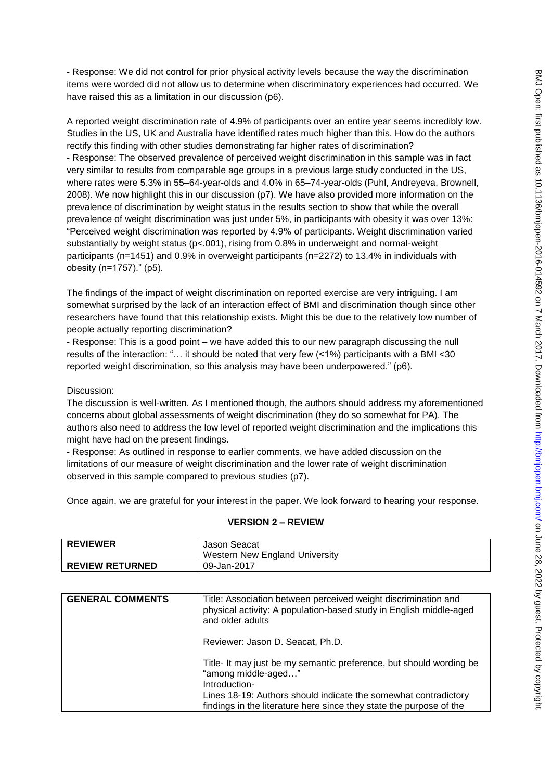- Response: We did not control for prior physical activity levels because the way the discrimination items were worded did not allow us to determine when discriminatory experiences had occurred. We have raised this as a limitation in our discussion (p6).

A reported weight discrimination rate of 4.9% of participants over an entire year seems incredibly low. Studies in the US, UK and Australia have identified rates much higher than this. How do the authors rectify this finding with other studies demonstrating far higher rates of discrimination? - Response: The observed prevalence of perceived weight discrimination in this sample was in fact very similar to results from comparable age groups in a previous large study conducted in the US, where rates were 5.3% in 55–64-year-olds and 4.0% in 65–74-year-olds (Puhl, Andreyeva, Brownell, 2008). We now highlight this in our discussion (p7). We have also provided more information on the prevalence of discrimination by weight status in the results section to show that while the overall prevalence of weight discrimination was just under 5%, in participants with obesity it was over 13%: "Perceived weight discrimination was reported by 4.9% of participants. Weight discrimination varied substantially by weight status (p<.001), rising from 0.8% in underweight and normal-weight participants (n=1451) and 0.9% in overweight participants (n=2272) to 13.4% in individuals with obesity (n=1757)." (p5).

The findings of the impact of weight discrimination on reported exercise are very intriguing. I am somewhat surprised by the lack of an interaction effect of BMI and discrimination though since other researchers have found that this relationship exists. Might this be due to the relatively low number of people actually reporting discrimination?

- Response: This is a good point – we have added this to our new paragraph discussing the null results of the interaction: "… it should be noted that very few (<1%) participants with a BMI <30 reported weight discrimination, so this analysis may have been underpowered." (p6).

## Discussion:

The discussion is well-written. As I mentioned though, the authors should address my aforementioned concerns about global assessments of weight discrimination (they do so somewhat for PA). The authors also need to address the low level of reported weight discrimination and the implications this might have had on the present findings.

- Response: As outlined in response to earlier comments, we have added discussion on the limitations of our measure of weight discrimination and the lower rate of weight discrimination observed in this sample compared to previous studies (p7).

Once again, we are grateful for your interest in the paper. We look forward to hearing your response.

#### **VERSION 2 – REVIEW**

| <b>REVIEWER</b>        | Jason Seacat                          |
|------------------------|---------------------------------------|
|                        | <b>Western New England University</b> |
| <b>REVIEW RETURNED</b> | 09-Jan-2017                           |

| <b>GENERAL COMMENTS</b> | Title: Association between perceived weight discrimination and<br>physical activity: A population-based study in English middle-aged<br>and older adults |
|-------------------------|----------------------------------------------------------------------------------------------------------------------------------------------------------|
|                         | Reviewer: Jason D. Seacat, Ph.D.                                                                                                                         |
|                         | Title-It may just be my semantic preference, but should wording be<br>"among middle-aged"<br>Introduction-                                               |
|                         | Lines 18-19: Authors should indicate the somewhat contradictory<br>findings in the literature here since they state the purpose of the                   |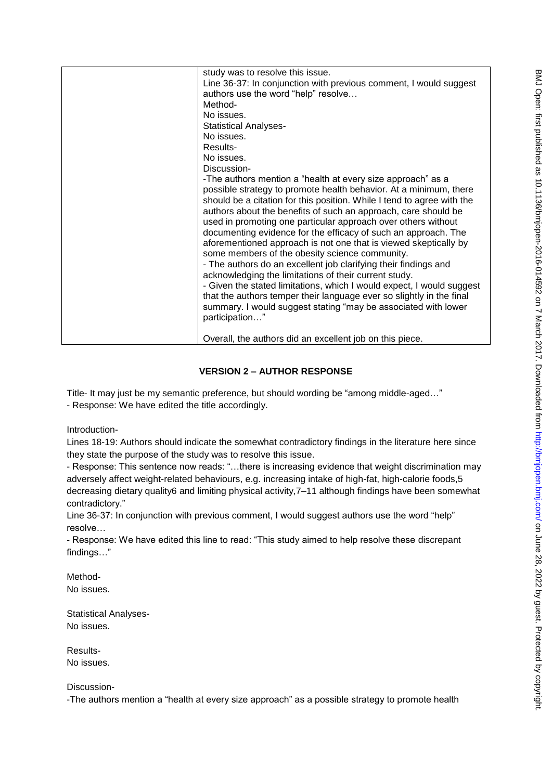| study was to resolve this issue.                                       |
|------------------------------------------------------------------------|
| Line 36-37: In conjunction with previous comment, I would suggest      |
| authors use the word "help" resolve                                    |
| Method-                                                                |
| No issues.                                                             |
| <b>Statistical Analyses-</b>                                           |
| No issues.                                                             |
| Results-                                                               |
| No issues.                                                             |
| Discussion-                                                            |
| -The authors mention a "health at every size approach" as a            |
| possible strategy to promote health behavior. At a minimum, there      |
| should be a citation for this position. While I tend to agree with the |
| authors about the benefits of such an approach, care should be         |
| used in promoting one particular approach over others without          |
| documenting evidence for the efficacy of such an approach. The         |
| aforementioned approach is not one that is viewed skeptically by       |
| some members of the obesity science community.                         |
| - The authors do an excellent job clarifying their findings and        |
| acknowledging the limitations of their current study.                  |
| - Given the stated limitations, which I would expect, I would suggest  |
| that the authors temper their language ever so slightly in the final   |
| summary. I would suggest stating "may be associated with lower         |
| participation"                                                         |
|                                                                        |
|                                                                        |
| Overall, the authors did an excellent job on this piece.               |

# **VERSION 2 – AUTHOR RESPONSE**

Title- It may just be my semantic preference, but should wording be "among middle-aged…" - Response: We have edited the title accordingly.

Introduction-

Lines 18-19: Authors should indicate the somewhat contradictory findings in the literature here since they state the purpose of the study was to resolve this issue.

- Response: This sentence now reads: "…there is increasing evidence that weight discrimination may adversely affect weight-related behaviours, e.g. increasing intake of high-fat, high-calorie foods,5 decreasing dietary quality6 and limiting physical activity,7–11 although findings have been somewhat contradictory."

Line 36-37: In conjunction with previous comment, I would suggest authors use the word "help" resolve…

- Response: We have edited this line to read: "This study aimed to help resolve these discrepant findings…"

Method-No issues.

Statistical Analyses-No issues.

Results-No issues.

Discussion-

-The authors mention a "health at every size approach" as a possible strategy to promote health